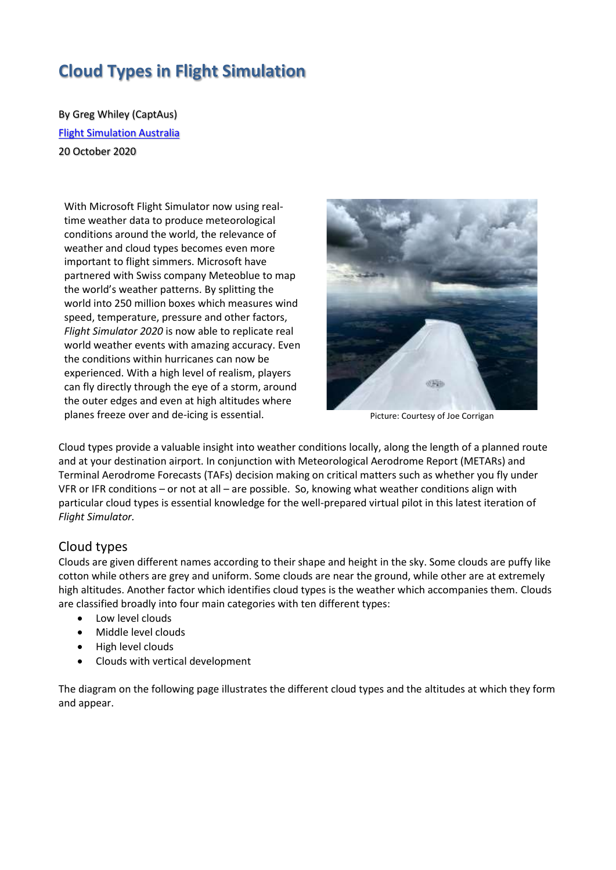# **Cloud Types in Flight Simulation**

By Greg Whiley (CaptAus) [Flight Simulation Australia](http://www.flightsimaus.com.au/) 20 October 2020

With Microsoft Flight Simulator now using realtime weather data to produce meteorological conditions around the world, the relevance of weather and cloud types becomes even more important to flight simmers. Microsoft have partnered with Swiss company Meteoblue to map the world's weather patterns. By splitting the world into 250 million boxes which measures wind speed, temperature, pressure and other factors, *Flight Simulator 2020* is now able to replicate real world weather events with amazing accuracy. Even the conditions within hurricanes can now be experienced. With a high level of realism, players can fly directly through the eye of a storm, around the outer edges and even at high altitudes where planes freeze over and de-icing is essential. **Property and Property and Australian** Picture: Courtesy of Joe Corrigan



Cloud types provide a valuable insight into weather conditions locally, along the length of a planned route and at your destination airport. In conjunction with Meteorological Aerodrome Report (METARs) and Terminal Aerodrome Forecasts (TAFs) decision making on critical matters such as whether you fly under VFR or IFR conditions – or not at all – are possible. So, knowing what weather conditions align with particular cloud types is essential knowledge for the well-prepared virtual pilot in this latest iteration of *Flight Simulator.*

#### Cloud types

Clouds are given different names according to their shape and height in the sky. Some clouds are puffy like cotton while others are grey and uniform. Some clouds are near the ground, while other are at extremely high altitudes. Another factor which identifies cloud types is the weather which accompanies them. Clouds are classified broadly into four main categories with ten different types:

- Low level clouds
- Middle level clouds
- High level clouds
- Clouds with vertical development

The diagram on the following page illustrates the different cloud types and the altitudes at which they form and appear.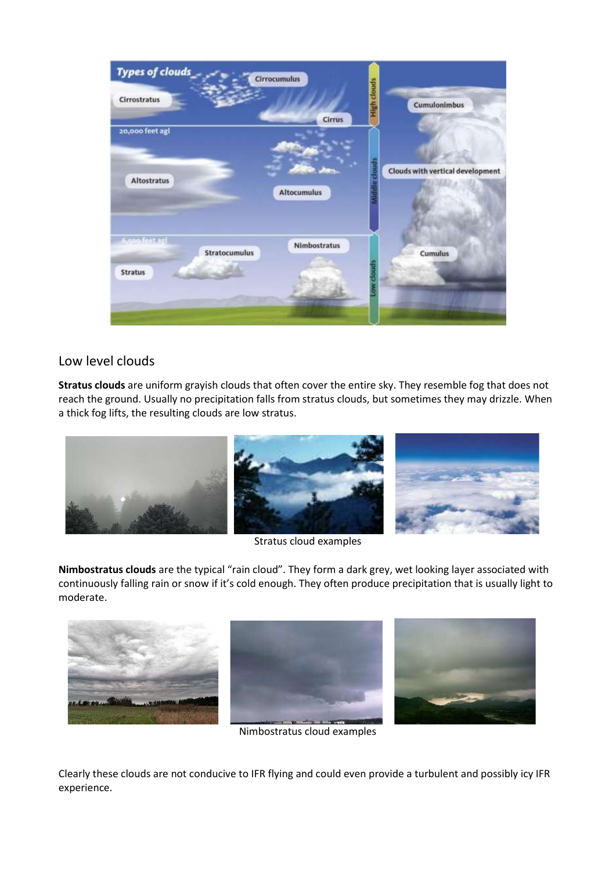

#### Low level clouds

**Stratus clouds** are uniform grayish clouds that often cover the entire sky. They resemble fog that does not reach the ground. Usually no precipitation falls from stratus clouds, but sometimes they may drizzle. When a thick fog lifts, the resulting clouds are low stratus.



Stratus cloud examples



**Nimbostratus clouds** are the typical "rain cloud". They form a dark grey, wet looking layer associated with continuously falling rain or snow if it's cold enough. They often produce precipitation that is usually light to moderate.







Nimbostratus cloud examples

Clearly these clouds are not conducive to IFR flying and could even provide a turbulent and possibly icy IFR experience.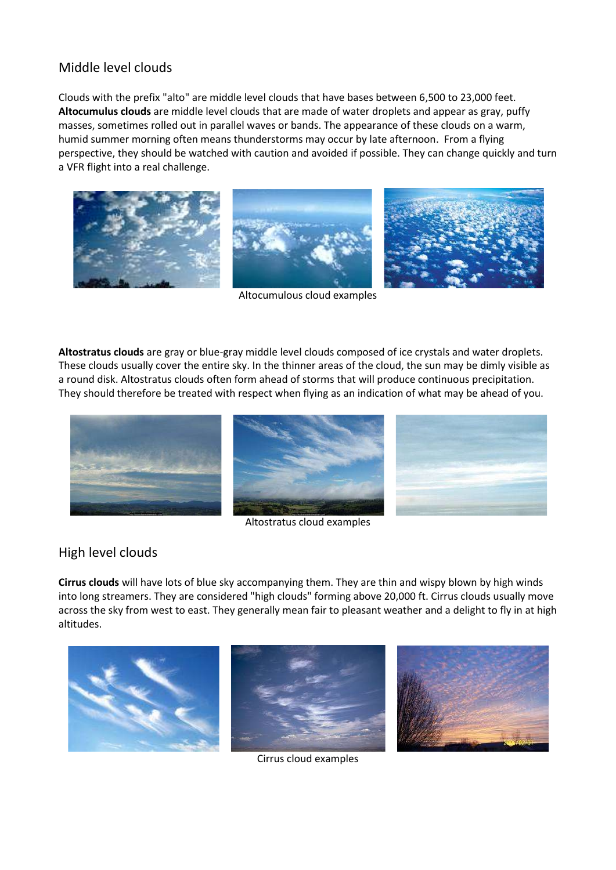## Middle level clouds

Clouds with the prefix "alto" are middle level clouds that have bases between 6,500 to 23,000 feet. **Altocumulus clouds** are middle level clouds that are made of water droplets and appear as gray, puffy masses, sometimes rolled out in parallel waves or bands. The appearance of these clouds on a warm, humid summer morning often means thunderstorms may occur by late afternoon. From a flying perspective, they should be watched with caution and avoided if possible. They can change quickly and turn a VFR flight into a real challenge.



Altocumulous cloud examples

**Altostratus clouds** are gray or blue-gray middle level clouds composed of ice crystals and water droplets. These clouds usually cover the entire sky. In the thinner areas of the cloud, the sun may be dimly visible as a round disk. Altostratus clouds often form ahead of storms that will produce continuous precipitation. They should therefore be treated with respect when flying as an indication of what may be ahead of you.



Altostratus cloud examples

#### High level clouds

**Cirrus clouds** will have lots of blue sky accompanying them. They are thin and wispy blown by high winds into long streamers. They are considered "high clouds" forming above 20,000 ft. Cirrus clouds usually move across the sky from west to east. They generally mean fair to pleasant weather and a delight to fly in at high altitudes.



Cirrus cloud examples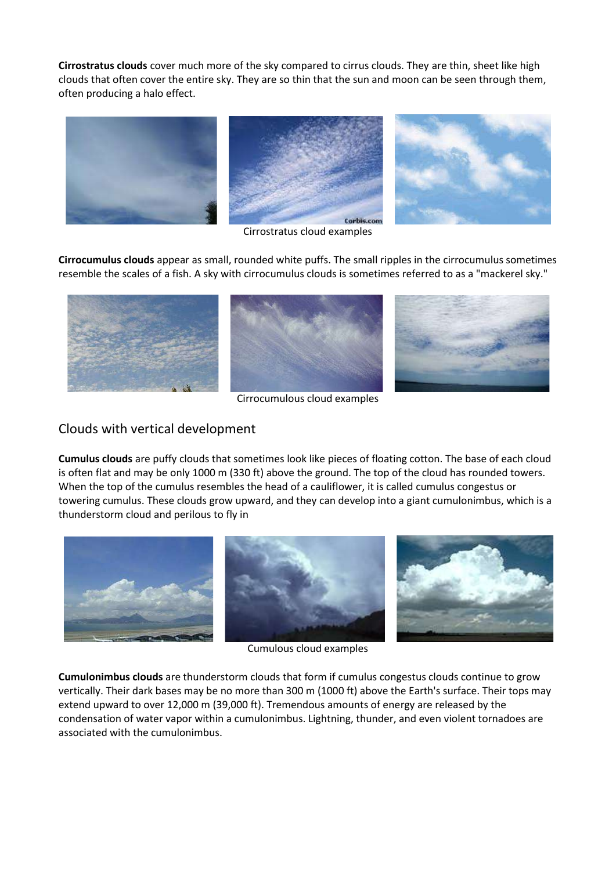**Cirrostratus clouds** cover much more of the sky compared to cirrus clouds. They are thin, sheet like high clouds that often cover the entire sky. They are so thin that the sun and moon can be seen through them, often producing a halo effect.



Cirrostratus cloud examples

**Cirrocumulus clouds** appear as small, rounded white puffs. The small ripples in the cirrocumulus sometimes resemble the scales of a fish. A sky with cirrocumulus clouds is sometimes referred to as a "mackerel sky."



Cirrocumulous cloud examples

### Clouds with vertical development

**Cumulus clouds** are puffy clouds that sometimes look like pieces of floating cotton. The base of each cloud is often flat and may be only 1000 m (330 ft) above the ground. The top of the cloud has rounded towers. When the top of the cumulus resembles the head of a cauliflower, it is called cumulus congestus or towering cumulus. These clouds grow upward, and they can develop into a giant cumulonimbus, which is a thunderstorm cloud and perilous to fly in



Cumulous cloud examples

**Cumulonimbus clouds** are thunderstorm clouds that form if cumulus congestus clouds continue to grow vertically. Their dark bases may be no more than 300 m (1000 ft) above the Earth's surface. Their tops may extend upward to over 12,000 m (39,000 ft). Tremendous amounts of energy are released by the condensation of water vapor within a cumulonimbus. Lightning, thunder, and even violent tornadoes are associated with the cumulonimbus.